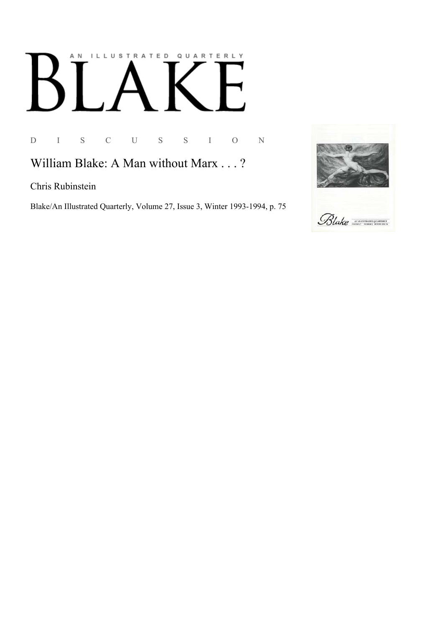## AN ILLUSTRATED QUARTERLY

D I S C U S S I O N

William Blake: A Man without Marx . . . ?

Chris Rubinstein

Blake/An Illustrated Quarterly, Volume 27, Issue 3, Winter 1993-1994, p. 75